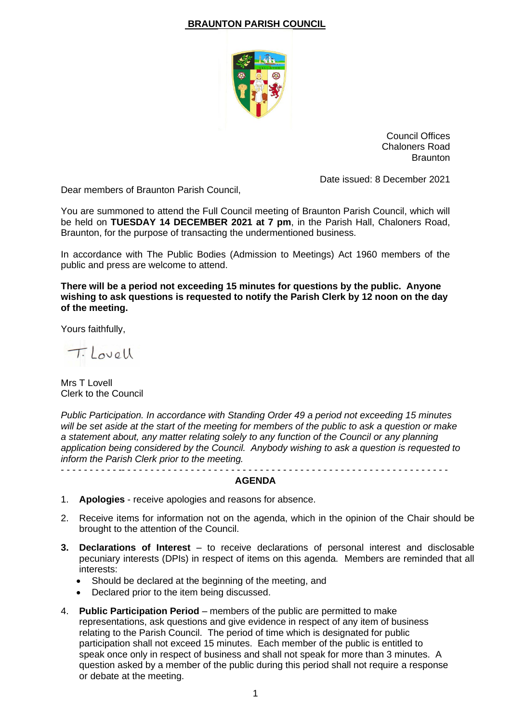## **BRAUNTON PARISH COUNCIL**



Council Offices Chaloners Road **Braunton** 

Date issued: 8 December 2021

Dear members of Braunton Parish Council,

You are summoned to attend the Full Council meeting of Braunton Parish Council, which will be held on **TUESDAY 14 DECEMBER 2021 at 7 pm**, in the Parish Hall, Chaloners Road, Braunton, for the purpose of transacting the undermentioned business.

In accordance with The Public Bodies (Admission to Meetings) Act 1960 members of the public and press are welcome to attend.

**There will be a period not exceeding 15 minutes for questions by the public. Anyone wishing to ask questions is requested to notify the Parish Clerk by 12 noon on the day of the meeting.**

Yours faithfully,

T. Lovell

Mrs T Lovell Clerk to the Council

*Public Participation. In accordance with Standing Order 49 a period not exceeding 15 minutes will be set aside at the start of the meeting for members of the public to ask a question or make a statement about, any matter relating solely to any function of the Council or any planning application being considered by the Council. Anybody wishing to ask a question is requested to inform the Parish Clerk prior to the meeting.* - - - - - - - - - - -- - - - - - - - - - - - - - - - - - - - - - - - - - - - - - - - - - - - - - - - - - - - - - - - - - - - - - - - -

## **AGENDA**

- 1. **Apologies** receive apologies and reasons for absence.
- 2. Receive items for information not on the agenda, which in the opinion of the Chair should be brought to the attention of the Council.
- **3. Declarations of Interest** to receive declarations of personal interest and disclosable pecuniary interests (DPIs) in respect of items on this agenda. Members are reminded that all interests:
	- Should be declared at the beginning of the meeting, and
	- Declared prior to the item being discussed.
- 4. **Public Participation Period** members of the public are permitted to make representations, ask questions and give evidence in respect of any item of business relating to the Parish Council. The period of time which is designated for public participation shall not exceed 15 minutes. Each member of the public is entitled to speak once only in respect of business and shall not speak for more than 3 minutes. A question asked by a member of the public during this period shall not require a response or debate at the meeting.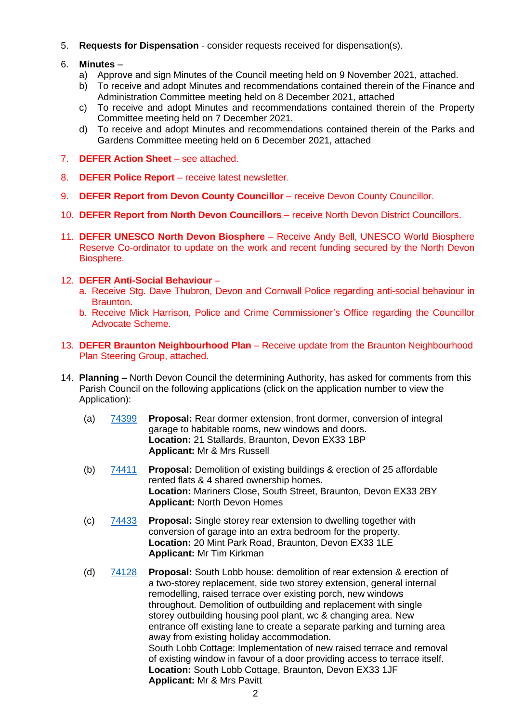5. **Requests for Dispensation** - consider requests received for dispensation(s).

## 6. **Minutes** –

- a) Approve and sign Minutes of the Council meeting held on 9 November 2021, attached.
- b) To receive and adopt Minutes and recommendations contained therein of the Finance and Administration Committee meeting held on 8 December 2021, attached
- c) To receive and adopt Minutes and recommendations contained therein of the Property Committee meeting held on 7 December 2021.
- d) To receive and adopt Minutes and recommendations contained therein of the Parks and Gardens Committee meeting held on 6 December 2021, attached
- 7. **DEFER Action Sheet** see attached.
- 8. **DEFER Police Report** receive latest newsletter.
- 9. **DEFER Report from Devon County Councillor** receive Devon County Councillor.
- 10. **DEFER Report from North Devon Councillors** receive North Devon District Councillors.
- 11. **DEFER UNESCO North Devon Biosphere** Receive Andy Bell, UNESCO World Biosphere Reserve Co-ordinator to update on the work and recent funding secured by the North Devon Biosphere.
- 12. **DEFER Anti-Social Behaviour** 
	- a. Receive Stg. Dave Thubron, Devon and Cornwall Police regarding anti-social behaviour in Braunton.
	- b. Receive Mick Harrison, Police and Crime Commissioner's Office regarding the Councillor Advocate Scheme.
- 13. **DEFER Braunton Neighbourhood Plan** Receive update from the Braunton Neighbourhood Plan Steering Group, attached.
- 14. **Planning –** North Devon Council the determining Authority, has asked for comments from this Parish Council on the following applications (click on the application number to view the Application):
	- (a) [74399](https://planning.northdevon.gov.uk/Planning/Display/74399) **Proposal:** Rear dormer extension, front dormer, conversion of integral garage to habitable rooms, new windows and doors. **Location:** 21 Stallards, Braunton, Devon EX33 1BP **Applicant:** Mr & Mrs Russell
	- (b) [74411](https://planning.northdevon.gov.uk/Planning/Display/74399) **Proposal:** Demolition of existing buildings & erection of 25 affordable rented flats & 4 shared ownership homes. **Location:** Mariners Close, South Street, Braunton, Devon EX33 2BY **Applicant:** North Devon Homes
	- (c) [74433](https://planning.northdevon.gov.uk/Planning/Display/74433) **Proposal:** Single storey rear extension to dwelling together with conversion of garage into an extra bedroom for the property. **Location:** 20 Mint Park Road, Braunton, Devon EX33 1LE **Applicant:** Mr Tim Kirkman
	- (d) [74128](https://planning.northdevon.gov.uk/Planning/Display/74128) **Proposal:** South Lobb house: demolition of rear extension & erection of a two-storey replacement, side two storey extension, general internal remodelling, raised terrace over existing porch, new windows throughout. Demolition of outbuilding and replacement with single storey outbuilding housing pool plant, wc & changing area. New entrance off existing lane to create a separate parking and turning area away from existing holiday accommodation. South Lobb Cottage: Implementation of new raised terrace and removal of existing window in favour of a door providing access to terrace itself. **Location:** South Lobb Cottage, Braunton, Devon EX33 1JF **Applicant:** Mr & Mrs Pavitt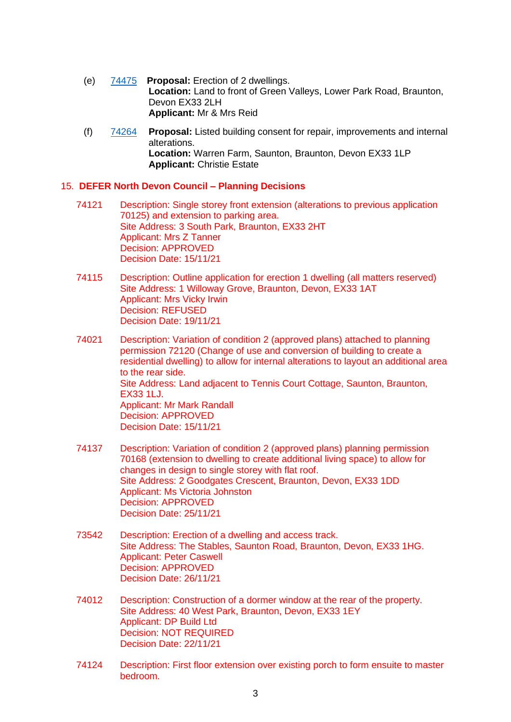- (e) [74475](https://planning.northdevon.gov.uk/Planning/Display/74475) **Proposal:** Erection of 2 dwellings. **Location:** Land to front of Green Valleys, Lower Park Road, Braunton, Devon EX33 2LH **Applicant:** Mr & Mrs Reid
- (f) [74264](https://planning.northdevon.gov.uk/Planning/Display/74264) **Proposal:** Listed building consent for repair, improvements and internal alterations. **Location:** Warren Farm, Saunton, Braunton, Devon EX33 1LP **Applicant:** Christie Estate

## 15. **DEFER North Devon Council – Planning Decisions**

- 74121 Description: Single storey front extension (alterations to previous application 70125) and extension to parking area. Site Address: 3 South Park, Braunton, EX33 2HT Applicant: Mrs Z Tanner Decision: APPROVED Decision Date: 15/11/21
- 74115 Description: Outline application for erection 1 dwelling (all matters reserved) Site Address: 1 Willoway Grove, Braunton, Devon, EX33 1AT Applicant: Mrs Vicky Irwin Decision: REFUSED Decision Date: 19/11/21
- 74021 Description: Variation of condition 2 (approved plans) attached to planning permission 72120 (Change of use and conversion of building to create a residential dwelling) to allow for internal alterations to layout an additional area to the rear side. Site Address: Land adjacent to Tennis Court Cottage, Saunton, Braunton, EX33 1LJ. Applicant: Mr Mark Randall Decision: APPROVED Decision Date: 15/11/21
- 74137 Description: Variation of condition 2 (approved plans) planning permission 70168 (extension to dwelling to create additional living space) to allow for changes in design to single storey with flat roof. Site Address: 2 Goodgates Crescent, Braunton, Devon, EX33 1DD Applicant: Ms Victoria Johnston Decision: APPROVED Decision Date: 25/11/21
- 73542 Description: Erection of a dwelling and access track. Site Address: The Stables, Saunton Road, Braunton, Devon, EX33 1HG. Applicant: Peter Caswell Decision: APPROVED Decision Date: 26/11/21
- 74012 Description: Construction of a dormer window at the rear of the property. Site Address: 40 West Park, Braunton, Devon, EX33 1EY Applicant: DP Build Ltd Decision: NOT REQUIRED Decision Date: 22/11/21
- 74124 Description: First floor extension over existing porch to form ensuite to master bedroom.